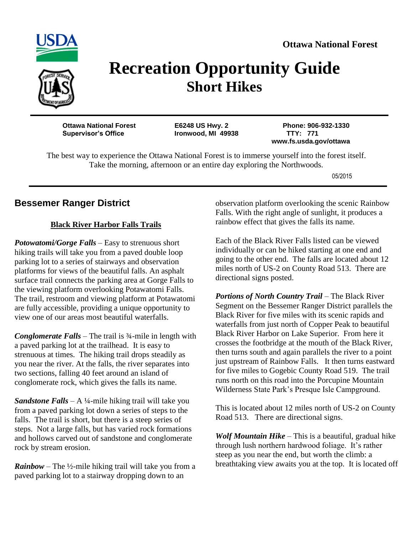



# **Recreation Opportunity Guide Short Hikes**

**Ottawa National Forest E6248 US Hwy. 2 Phone: 906-932-1330 Supervisor's Office Ironwood, MI 49938 TTY: 771**

 **www.fs.usda.gov/ottawa**

The best way to experience the Ottawa National Forest is to immerse yourself into the forest itself. Take the morning, afternoon or an entire day exploring the Northwoods.

05/2015

#### **Bessemer Ranger District**

#### **Black River Harbor Falls Trails**

*Potowatomi/Gorge Falls* – Easy to strenuous short hiking trails will take you from a paved double loop parking lot to a series of stairways and observation platforms for views of the beautiful falls. An asphalt surface trail connects the parking area at Gorge Falls to the viewing platform overlooking Potawatomi Falls. The trail, restroom and viewing platform at Potawatomi are fully accessible, providing a unique opportunity to view one of our areas most beautiful waterfalls.

*Conglomerate Falls* – The trail is ¾-mile in length with a paved parking lot at the trailhead. It is easy to strenuous at times. The hiking trail drops steadily as you near the river. At the falls, the river separates into two sections, falling 40 feet around an island of conglomerate rock, which gives the falls its name.

*Sandstone Falls* – A ¼-mile hiking trail will take you from a paved parking lot down a series of steps to the falls. The trail is short, but there is a steep series of steps. Not a large falls, but has varied rock formations and hollows carved out of sandstone and conglomerate rock by stream erosion.

*Rainbow* – The ½-mile hiking trail will take you from a paved parking lot to a stairway dropping down to an

observation platform overlooking the scenic Rainbow Falls. With the right angle of sunlight, it produces a rainbow effect that gives the falls its name.

Each of the Black River Falls listed can be viewed individually or can be hiked starting at one end and going to the other end. The falls are located about 12 miles north of US-2 on County Road 513. There are directional signs posted.

*Portions of North Country Trail* – The Black River Segment on the Bessemer Ranger District parallels the Black River for five miles with its scenic rapids and waterfalls from just north of Copper Peak to beautiful Black River Harbor on Lake Superior. From here it crosses the footbridge at the mouth of the Black River, then turns south and again parallels the river to a point just upstream of Rainbow Falls. It then turns eastward for five miles to Gogebic County Road 519. The trail runs north on this road into the Porcupine Mountain Wilderness State Park's Presque Isle Campground.

This is located about 12 miles north of US-2 on County Road 513. There are directional signs.

*Wolf Mountain Hike* – This is a beautiful, gradual hike through lush northern hardwood foliage. It's rather steep as you near the end, but worth the climb: a breathtaking view awaits you at the top. It is located off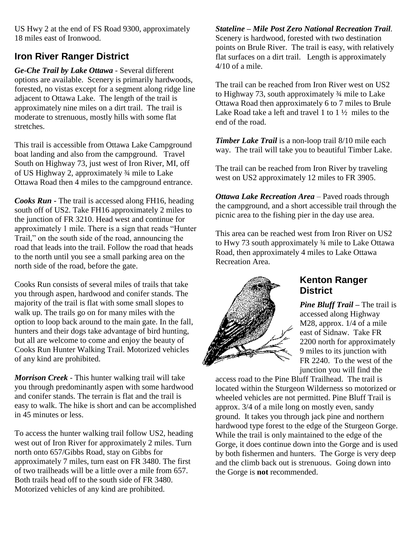US Hwy 2 at the end of FS Road 9300, approximately 18 miles east of Ironwood.

### **Iron River Ranger District**

*Ge-Che Trail by Lake Ottawa* - Several different options are available. Scenery is primarily hardwoods, forested, no vistas except for a segment along ridge line adjacent to Ottawa Lake. The length of the trail is approximately nine miles on a dirt trail. The trail is moderate to strenuous, mostly hills with some flat stretches.

This trail is accessible from Ottawa Lake Campground boat landing and also from the campground. Travel South on Highway 73, just west of Iron River, MI, off of US Highway 2, approximately ¾ mile to Lake Ottawa Road then 4 miles to the campground entrance.

*Cooks Run* **-** The trail is accessed along FH16, heading south off of US2. Take FH16 approximately 2 miles to the junction of FR 3210. Head west and continue for approximately 1 mile. There is a sign that reads "Hunter Trail," on the south side of the road, announcing the road that leads into the trail. Follow the road that heads to the north until you see a small parking area on the north side of the road, before the gate.

Cooks Run consists of several miles of trails that take you through aspen, hardwood and conifer stands. The majority of the trail is flat with some small slopes to walk up. The trails go on for many miles with the option to loop back around to the main gate. In the fall, hunters and their dogs take advantage of bird hunting, but all are welcome to come and enjoy the beauty of Cooks Run Hunter Walking Trail. Motorized vehicles of any kind are prohibited.

*Morrison Creek* - This hunter walking trail will take you through predominantly aspen with some hardwood and conifer stands. The terrain is flat and the trail is easy to walk. The hike is short and can be accomplished in 45 minutes or less.

To access the hunter walking trail follow US2, heading west out of Iron River for approximately 2 miles. Turn north onto 657/Gibbs Road, stay on Gibbs for approximately 7 miles, turn east on FR 3480. The first of two trailheads will be a little over a mile from 657. Both trails head off to the south side of FR 3480. Motorized vehicles of any kind are prohibited.

*Stateline – Mile Post Zero National Recreation Trail.* Scenery is hardwood, forested with two destination points on Brule River. The trail is easy, with relatively flat surfaces on a dirt trail. Length is approximately 4/10 of a mile.

The trail can be reached from Iron River west on US2 to Highway 73, south approximately ¾ mile to Lake Ottawa Road then approximately 6 to 7 miles to Brule Lake Road take a left and travel 1 to 1 ½ miles to the end of the road.

*Timber Lake Trail* is a non-loop trail 8/10 mile each way. The trail will take you to beautiful Timber Lake.

The trail can be reached from Iron River by traveling west on US2 approximately 12 miles to FR 3905.

*Ottawa Lake Recreation Area* – Paved roads through the campground, and a short accessible trail through the picnic area to the fishing pier in the day use area.

This area can be reached west from Iron River on US2 to Hwy 73 south approximately ¾ mile to Lake Ottawa Road, then approximately 4 miles to Lake Ottawa Recreation Area.



#### **Kenton Ranger District**

*Pine Bluff Trail* **–** The trail is accessed along Highway M28, approx. 1/4 of a mile east of Sidnaw. Take FR 2200 north for approximately 9 miles to its junction with FR 2240. To the west of the junction you will find the

access road to the Pine Bluff Trailhead. The trail is located within the Sturgeon Wilderness so motorized or wheeled vehicles are not permitted. Pine Bluff Trail is approx. 3/4 of a mile long on mostly even, sandy ground. It takes you through jack pine and northern hardwood type forest to the edge of the Sturgeon Gorge. While the trail is only maintained to the edge of the Gorge, it does continue down into the Gorge and is used by both fishermen and hunters. The Gorge is very deep and the climb back out is strenuous. Going down into the Gorge is **not** recommended.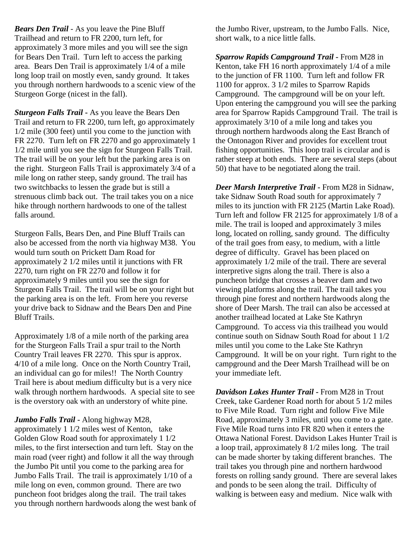*Bears Den Trail* - As you leave the Pine Bluff Trailhead and return to FR 2200, turn left, for approximately 3 more miles and you will see the sign for Bears Den Trail. Turn left to access the parking area. Bears Den Trail is approximately 1/4 of a mile long loop trail on mostly even, sandy ground. It takes you through northern hardwoods to a scenic view of the Sturgeon Gorge (nicest in the fall).

*Sturgeon Falls Trail* **-** As you leave the Bears Den Trail and return to FR 2200, turn left, go approximately 1/2 mile (300 feet) until you come to the junction with FR 2270. Turn left on FR 2270 and go approximately 1 1/2 mile until you see the sign for Sturgeon Falls Trail. The trail will be on your left but the parking area is on the right. Sturgeon Falls Trail is approximately 3/4 of a mile long on rather steep, sandy ground. The trail has two switchbacks to lessen the grade but is still a strenuous climb back out. The trail takes you on a nice hike through northern hardwoods to one of the tallest falls around.

Sturgeon Falls, Bears Den, and Pine Bluff Trails can also be accessed from the north via highway M38. You would turn south on Prickett Dam Road for approximately 2 1/2 miles until it junctions with FR 2270, turn right on FR 2270 and follow it for approximately 9 miles until you see the sign for Sturgeon Falls Trail. The trail will be on your right but the parking area is on the left. From here you reverse your drive back to Sidnaw and the Bears Den and Pine Bluff Trails.

Approximately 1/8 of a mile north of the parking area for the Sturgeon Falls Trail a spur trail to the North Country Trail leaves FR 2270. This spur is approx. 4/10 of a mile long. Once on the North Country Trail, an individual can go for miles!! The North Country Trail here is about medium difficulty but is a very nice walk through northern hardwoods. A special site to see is the overstory oak with an understory of white pine.

#### *Jumbo Falls Trail* **-** Along highway M28,

approximately 1 1/2 miles west of Kenton, take Golden Glow Road south for approximately 1 1/2 miles, to the first intersection and turn left. Stay on the main road (veer right) and follow it all the way through the Jumbo Pit until you come to the parking area for Jumbo Falls Trail. The trail is approximately 1/10 of a mile long on even, common ground. There are two puncheon foot bridges along the trail. The trail takes you through northern hardwoods along the west bank of

the Jumbo River, upstream, to the Jumbo Falls. Nice, short walk, to a nice little falls.

*Sparrow Rapids Campground Trail* **-** From M28 in Kenton, take FH 16 north approximately 1/4 of a mile to the junction of FR 1100. Turn left and follow FR 1100 for approx. 3 1/2 miles to Sparrow Rapids Campground. The campground will be on your left. Upon entering the campground you will see the parking area for Sparrow Rapids Campground Trail. The trail is approximately 3/10 of a mile long and takes you through northern hardwoods along the East Branch of the Ontonagon River and provides for excellent trout fishing opportunities. This loop trail is circular and is rather steep at both ends. There are several steps (about 50) that have to be negotiated along the trail.

*Deer Marsh Interpretive Trail* **-** From M28 in Sidnaw, take Sidnaw South Road south for approximately 7 miles to its junction with FR 2125 (Martin Lake Road). Turn left and follow FR 2125 for approximately 1/8 of a mile. The trail is looped and approximately 3 miles long, located on rolling, sandy ground. The difficulty of the trail goes from easy, to medium, with a little degree of difficulty. Gravel has been placed on approximately 1/2 mile of the trail. There are several interpretive signs along the trail. There is also a puncheon bridge that crosses a beaver dam and two viewing platforms along the trail. The trail takes you through pine forest and northern hardwoods along the shore of Deer Marsh. The trail can also be accessed at another trailhead located at Lake Ste Kathryn Campground. To access via this trailhead you would continue south on Sidnaw South Road for about 1 1/2 miles until you come to the Lake Ste Kathryn Campground. It will be on your right. Turn right to the campground and the Deer Marsh Trailhead will be on your immediate left.

*Davidson Lakes Hunter Trail* **-** From M28 in Trout Creek, take Gardener Road north for about 5 1/2 miles to Five Mile Road. Turn right and follow Five Mile Road, approximately 3 miles, until you come to a gate. Five Mile Road turns into FR 820 when it enters the Ottawa National Forest. Davidson Lakes Hunter Trail is a loop trail, approximately 8 1/2 miles long. The trail can be made shorter by taking different branches. The trail takes you through pine and northern hardwood forests on rolling sandy ground. There are several lakes and ponds to be seen along the trail. Difficulty of walking is between easy and medium. Nice walk with